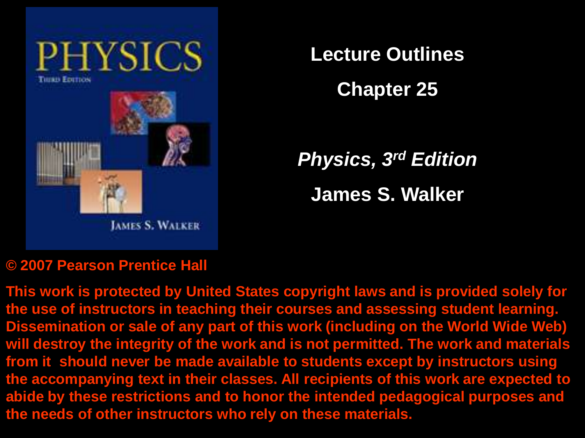

**Lecture Outlines**

**Chapter 25**

*Physics, 3rd Edition* **James S. Walker**

#### **© 2007 Pearson Prentice Hall**

**This work is protected by United States copyright laws and is provided solely for the use of instructors in teaching their courses and assessing student learning. Dissemination or sale of any part of this work (including on the World Wide Web) will destroy the integrity of the work and is not permitted. The work and materials from it should never be made available to students except by instructors using the accompanying text in their classes. All recipients of this work are expected to abide by these restrictions and to honor the intended pedagogical purposes and the needs of other instructors who rely on these materials.**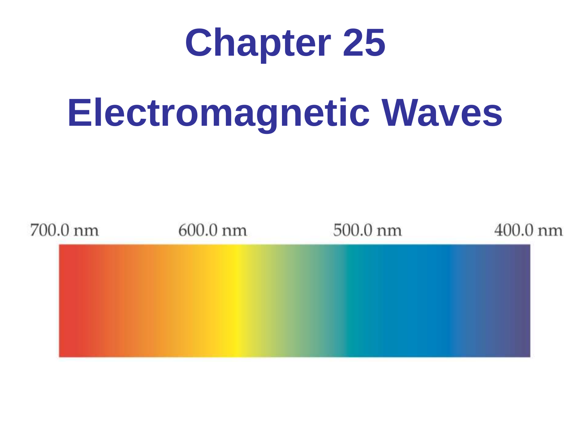# **Chapter 25**

# **Electromagnetic Waves**

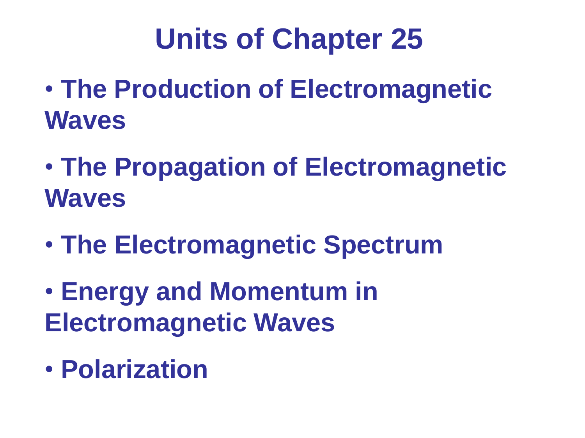# **Units of Chapter 25**

- **The Production of Electromagnetic Waves**
- **The Propagation of Electromagnetic Waves**
- **The Electromagnetic Spectrum**
- **Energy and Momentum in Electromagnetic Waves**
- **Polarization**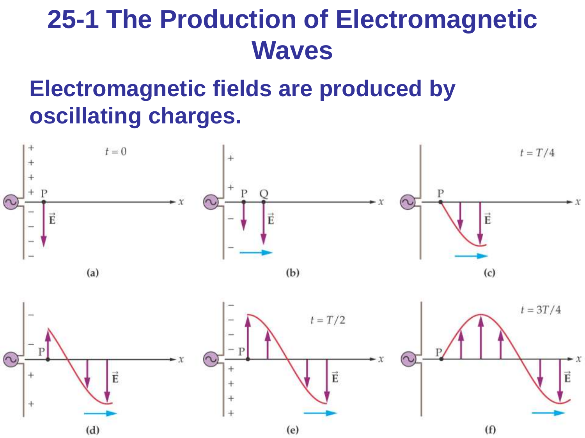### **Electromagnetic fields are produced by oscillating charges.**

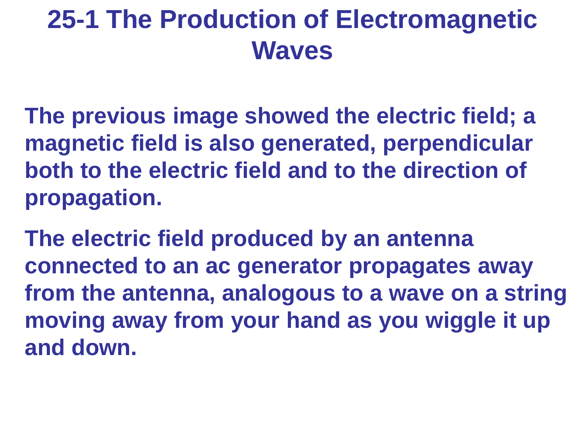**The previous image showed the electric field; a magnetic field is also generated, perpendicular both to the electric field and to the direction of propagation.**

**The electric field produced by an antenna connected to an ac generator propagates away from the antenna, analogous to a wave on a string moving away from your hand as you wiggle it up and down.**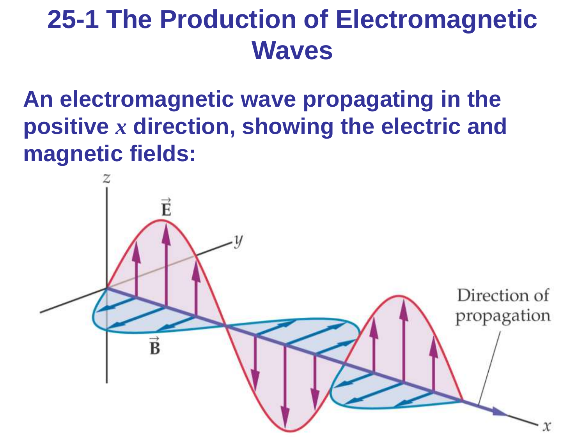**An electromagnetic wave propagating in the positive** *x* **direction, showing the electric and magnetic fields:**

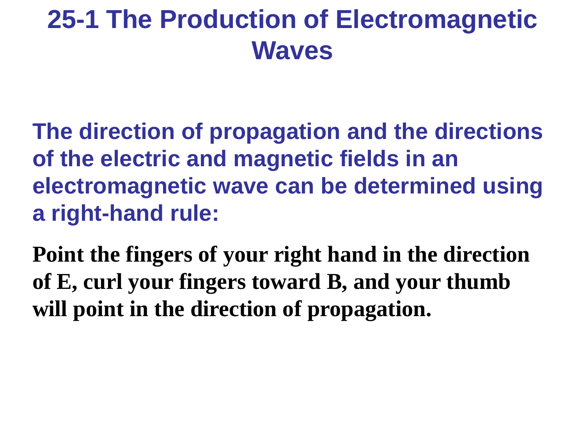**The direction of propagation and the directions of the electric and magnetic fields in an electromagnetic wave can be determined using a right-hand rule:**

**Point the fingers of your right hand in the direction of E, curl your fingers toward B, and your thumb will point in the direction of propagation.**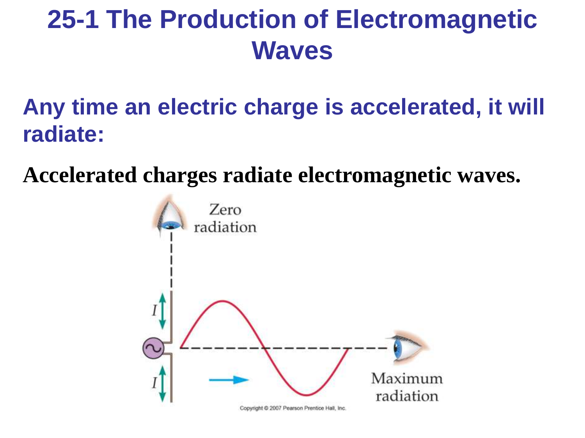### **Any time an electric charge is accelerated, it will radiate:**

**Accelerated charges radiate electromagnetic waves.**

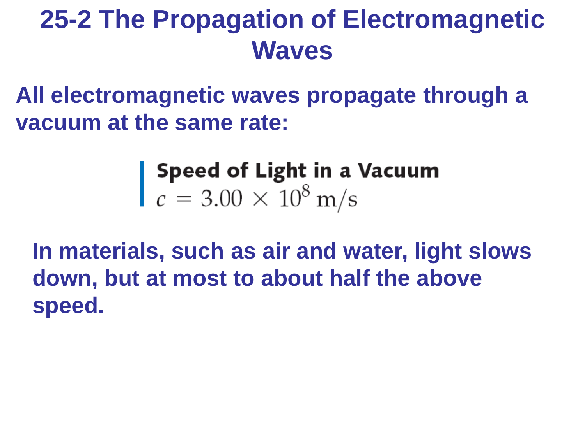**All electromagnetic waves propagate through a vacuum at the same rate:**

**Speed of Light in a Vacuum**<br> $c = 3.00 \times 10^8 \text{ m/s}$ 

**In materials, such as air and water, light slows down, but at most to about half the above speed.**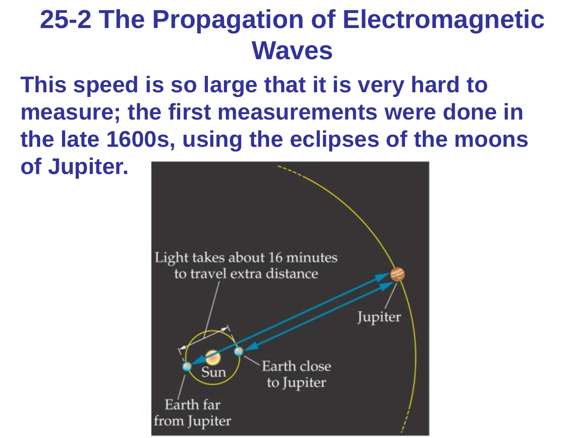**This speed is so large that it is very hard to measure; the first measurements were done in the late 1600s, using the eclipses of the moons of Jupiter.**

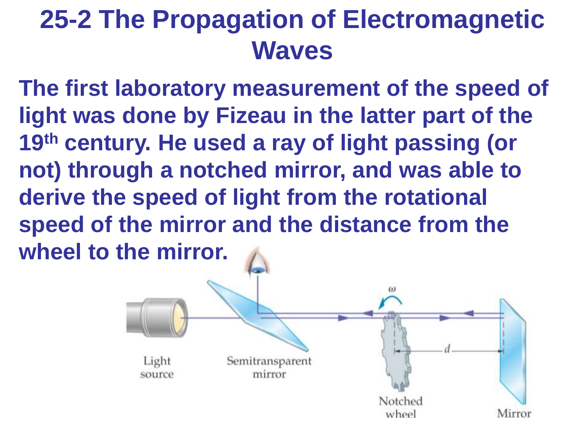**The first laboratory measurement of the speed of light was done by Fizeau in the latter part of the 19th century. He used a ray of light passing (or not) through a notched mirror, and was able to derive the speed of light from the rotational speed of the mirror and the distance from the wheel to the mirror.**

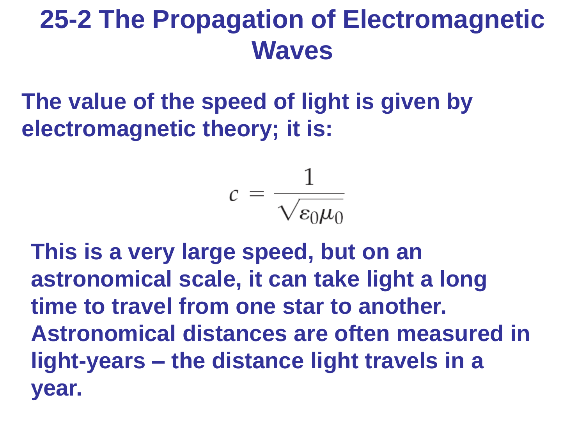**The value of the speed of light is given by electromagnetic theory; it is:**

$$
c = \frac{1}{\sqrt{\varepsilon_0 \mu_0}}
$$

**This is a very large speed, but on an astronomical scale, it can take light a long time to travel from one star to another. Astronomical distances are often measured in light-years – the distance light travels in a year.**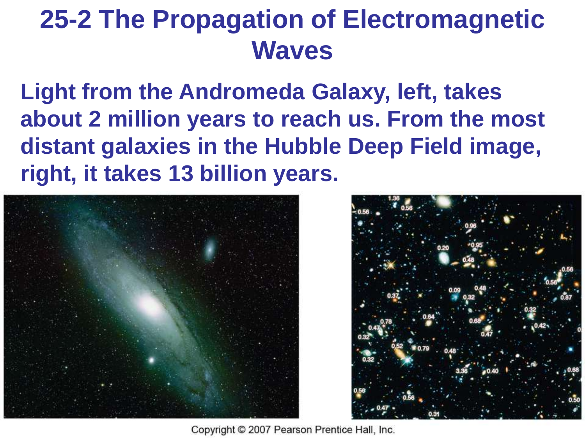**Light from the Andromeda Galaxy, left, takes about 2 million years to reach us. From the most distant galaxies in the Hubble Deep Field image, right, it takes 13 billion years.**





Copyright © 2007 Pearson Prentice Hall, Inc.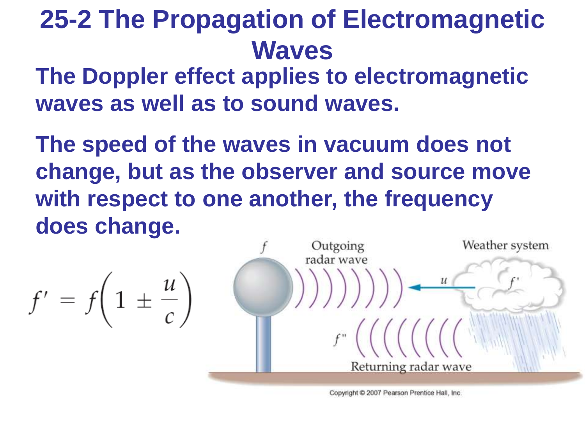**The Doppler effect applies to electromagnetic waves as well as to sound waves.** 

**The speed of the waves in vacuum does not change, but as the observer and source move with respect to one another, the frequency does change.**

Outgoing Weather system radar wave  $f' = f\left(1 \pm \frac{u}{c}\right)$ Returning radar wave

Copyright © 2007 Pearson Prentice Hall, Inc.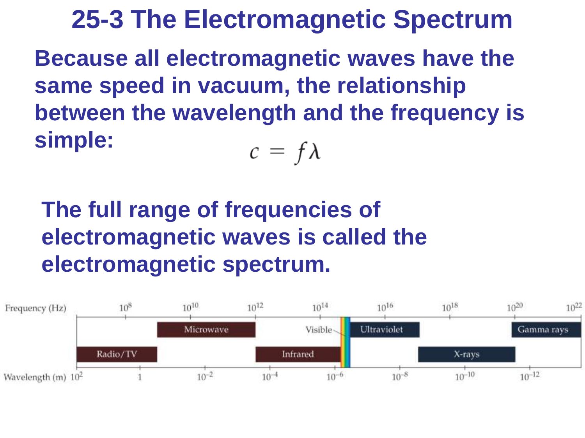**25-3 The Electromagnetic Spectrum Because all electromagnetic waves have the same speed in vacuum, the relationship between the wavelength and the frequency is simple:**  $c = f\lambda$ 

### **The full range of frequencies of electromagnetic waves is called the electromagnetic spectrum.**

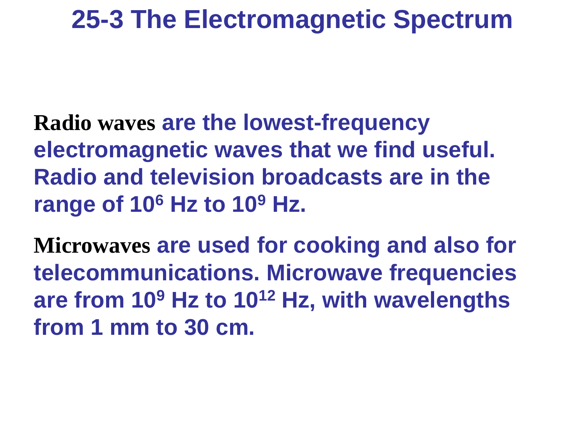**Radio waves are the lowest-frequency electromagnetic waves that we find useful. Radio and television broadcasts are in the range of 10<sup>6</sup> Hz to 10<sup>9</sup> Hz.**

**Microwaves are used for cooking and also for telecommunications. Microwave frequencies are from 10<sup>9</sup> Hz to 10<sup>12</sup> Hz, with wavelengths from 1 mm to 30 cm.**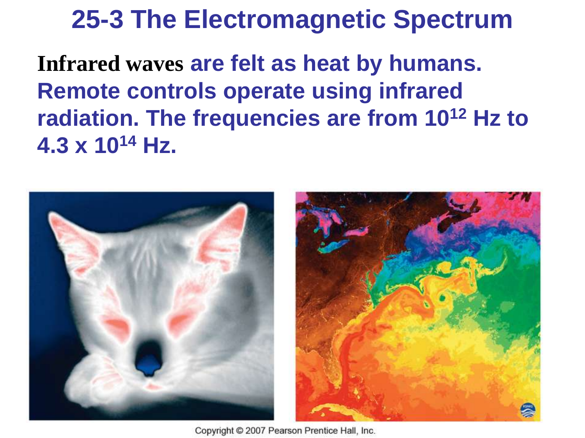**Infrared waves are felt as heat by humans. Remote controls operate using infrared radiation. The frequencies are from 10<sup>12</sup> Hz to 4.3 x 10<sup>14</sup> Hz.**



Copyright © 2007 Pearson Prentice Hall, Inc.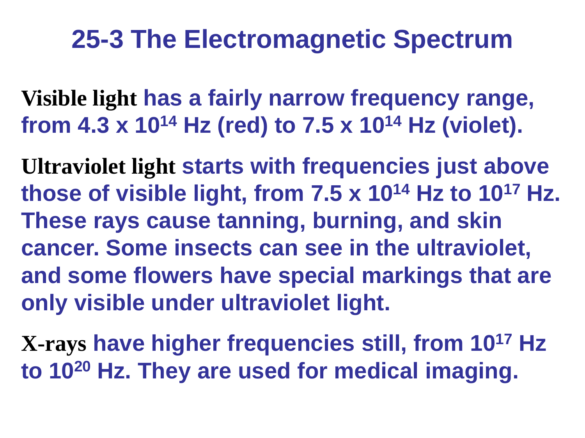**Visible light has a fairly narrow frequency range, from 4.3 x 10<sup>14</sup> Hz (red) to 7.5 x 10<sup>14</sup> Hz (violet).**

**Ultraviolet light starts with frequencies just above those of visible light, from 7.5 x 10<sup>14</sup> Hz to 10<sup>17</sup> Hz. These rays cause tanning, burning, and skin cancer. Some insects can see in the ultraviolet, and some flowers have special markings that are only visible under ultraviolet light.**

**X-rays have higher frequencies still, from 10<sup>17</sup> Hz to 10<sup>20</sup> Hz. They are used for medical imaging.**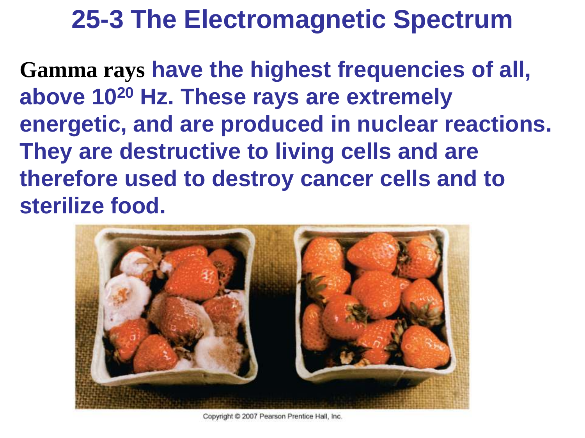**Gamma rays have the highest frequencies of all, above 10<sup>20</sup> Hz. These rays are extremely energetic, and are produced in nuclear reactions. They are destructive to living cells and are therefore used to destroy cancer cells and to sterilize food.**



Copyright @ 2007 Pearson Prentice Hall, Inc.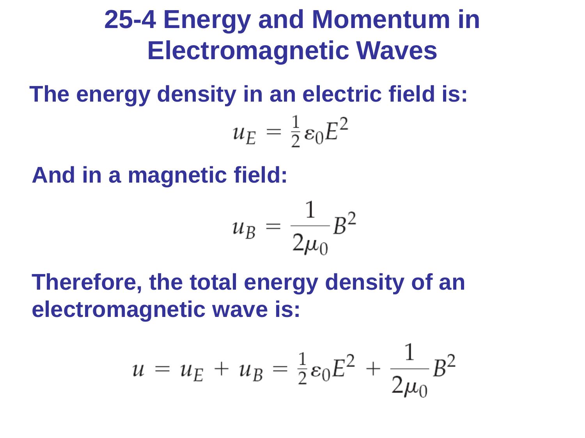**The energy density in an electric field is:**

$$
u_E = \frac{1}{2} \varepsilon_0 E^2
$$

**And in a magnetic field:**



**Therefore, the total energy density of an electromagnetic wave is:**

$$
u = u_E + u_B = \frac{1}{2} \varepsilon_0 E^2 + \frac{1}{2\mu_0} B^2
$$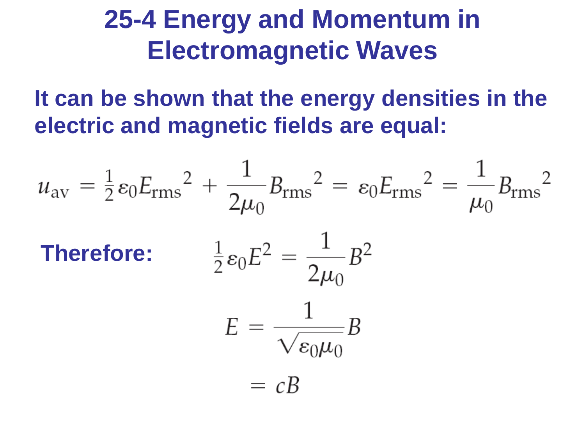**It can be shown that the energy densities in the electric and magnetic fields are equal:**

$$
u_{\text{av}} = \frac{1}{2} \varepsilon_0 E_{\text{rms}}^2 + \frac{1}{2\mu_0} B_{\text{rms}}^2 = \varepsilon_0 E_{\text{rms}}^2 = \frac{1}{\mu_0} B_{\text{rms}}^2
$$
  
**Therefore:** 
$$
\frac{1}{2} \varepsilon_0 E^2 = \frac{1}{2\mu_0} B^2
$$

$$
E = \frac{1}{\sqrt{\varepsilon_0 \mu_0}} B
$$

$$
= cB
$$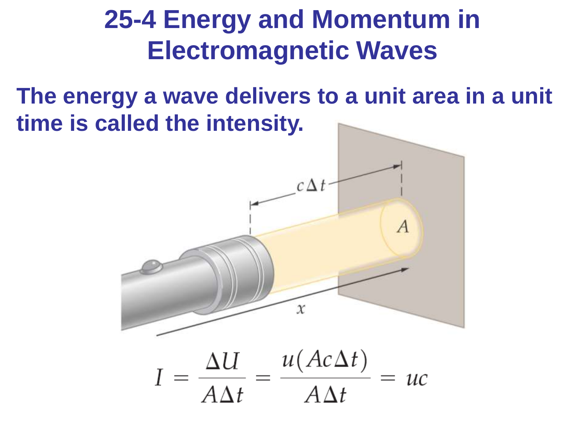**The energy a wave delivers to a unit area in a unit time is called the intensity.**

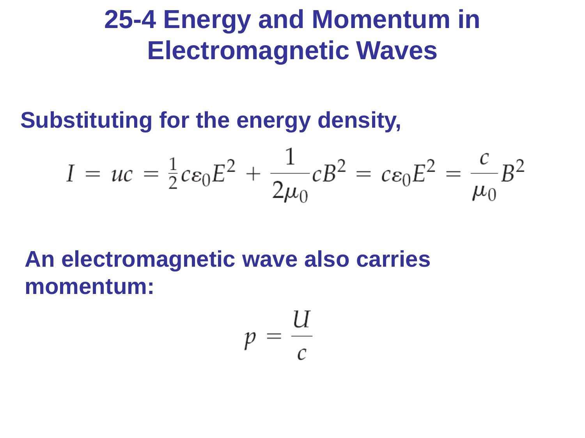**Substituting for the energy density,**

$$
I = uc = \frac{1}{2} c \varepsilon_0 E^2 + \frac{1}{2\mu_0} c B^2 = c \varepsilon_0 E^2 = \frac{c}{\mu_0} B^2
$$

**An electromagnetic wave also carries momentum:**

$$
p=\frac{U}{c}
$$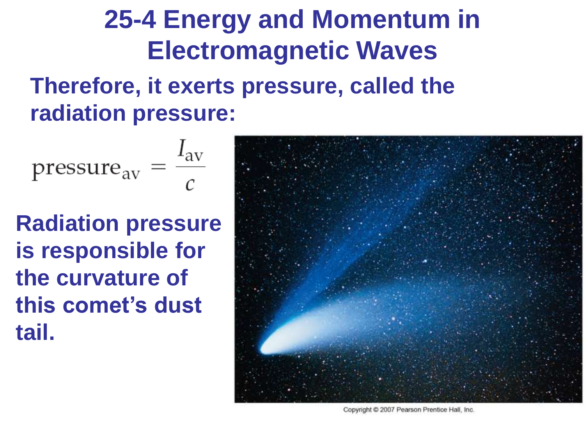#### **Therefore, it exerts pressure, called the radiation pressure:**

$$
pressure_{\text{av}} = \frac{I_{\text{av}}}{c}
$$

**Radiation pressure is responsible for the curvature of this comet's dust tail.**



Copyright C 2007 Pearson Prentice Hall, Inc.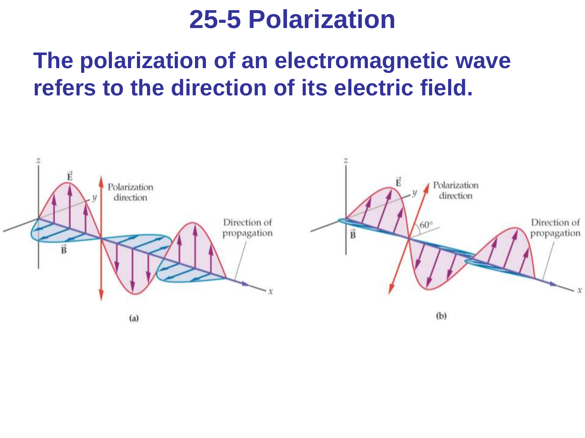### **The polarization of an electromagnetic wave refers to the direction of its electric field.**

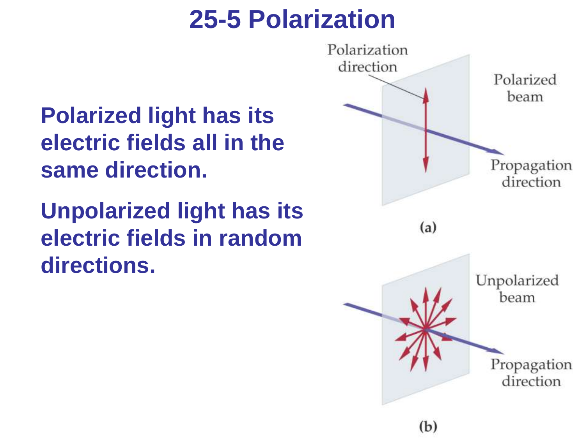**Polarized light has its electric fields all in the same direction.**

**Unpolarized light has its electric fields in random directions.**

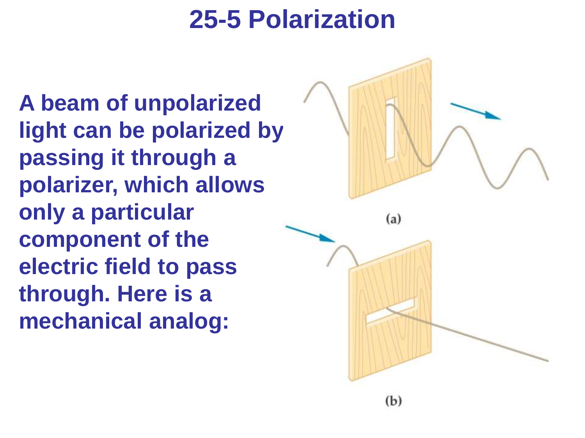**A beam of unpolarized light can be polarized by passing it through a polarizer, which allows only a particular component of the electric field to pass through. Here is a mechanical analog:**

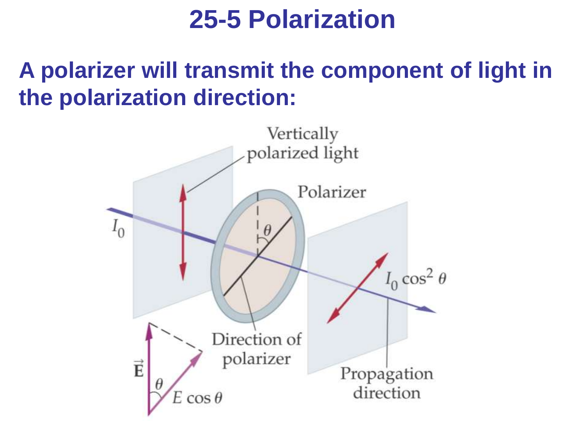### **A polarizer will transmit the component of light in the polarization direction:**

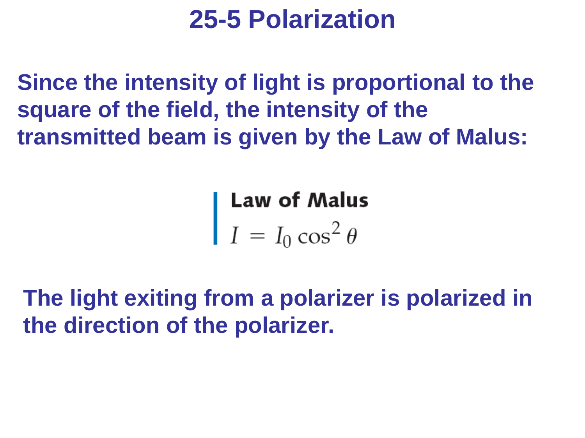**Since the intensity of light is proportional to the square of the field, the intensity of the transmitted beam is given by the Law of Malus:**

**Law of Malus**<br> $I = I_0 \cos^2 \theta$ 

**The light exiting from a polarizer is polarized in the direction of the polarizer.**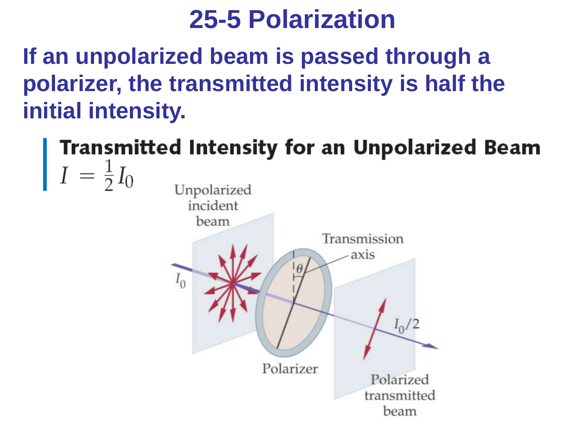**If an unpolarized beam is passed through a polarizer, the transmitted intensity is half the initial intensity.**

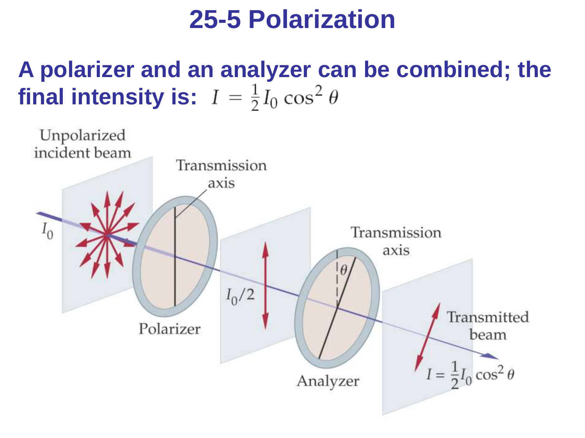### **A polarizer and an analyzer can be combined; the final intensity is:**  $I = \frac{1}{2}I_0 \cos^2 \theta$

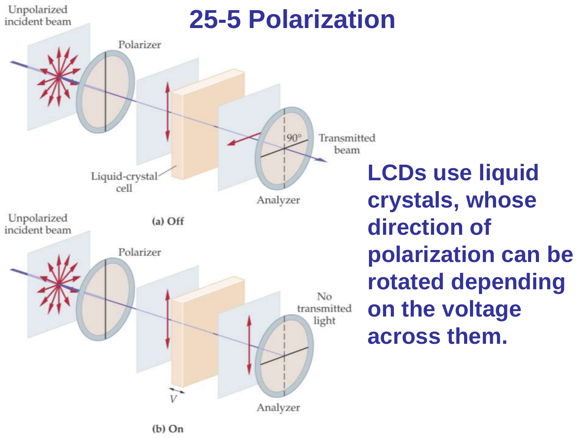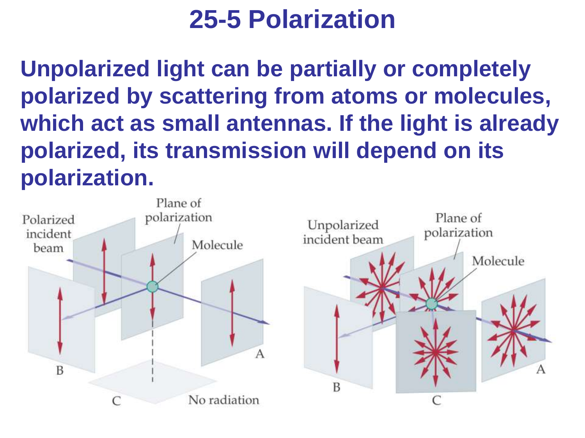**Unpolarized light can be partially or completely polarized by scattering from atoms or molecules, which act as small antennas. If the light is already polarized, its transmission will depend on its polarization.**

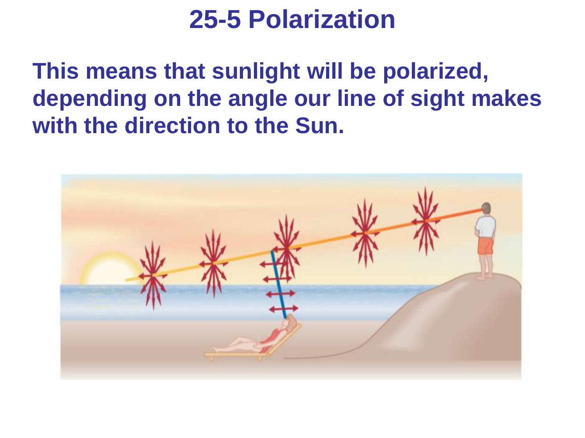**This means that sunlight will be polarized, depending on the angle our line of sight makes with the direction to the Sun.**

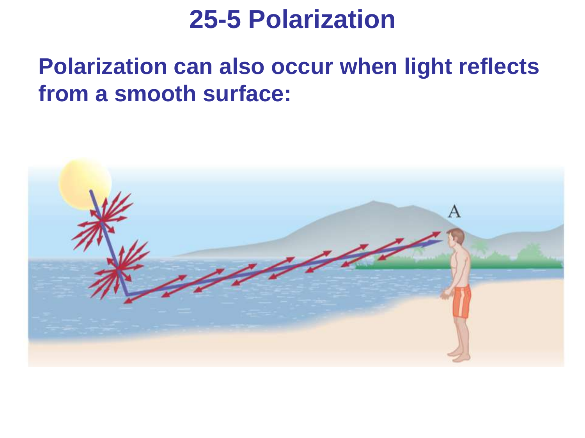### **Polarization can also occur when light reflects from a smooth surface:**

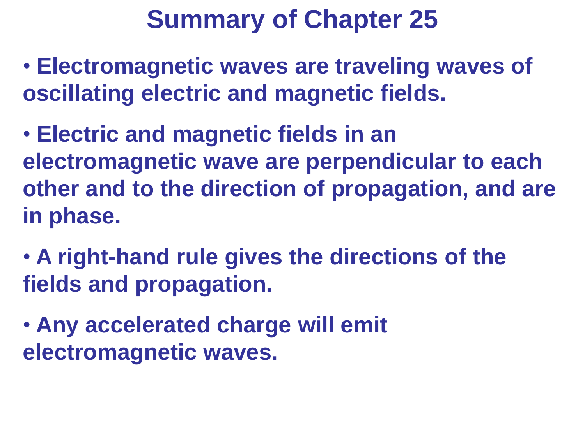- **Electromagnetic waves are traveling waves of oscillating electric and magnetic fields.**
- **Electric and magnetic fields in an electromagnetic wave are perpendicular to each other and to the direction of propagation, and are in phase.**
- **A right-hand rule gives the directions of the fields and propagation.**
- **Any accelerated charge will emit electromagnetic waves.**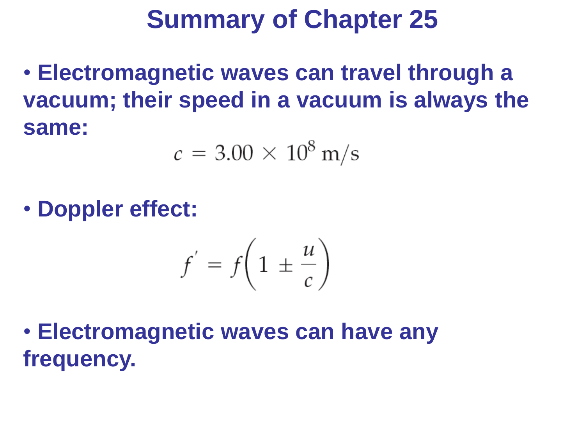• **Electromagnetic waves can travel through a vacuum; their speed in a vacuum is always the same:**

$$
c = 3.00 \times 10^8 \,\mathrm{m/s}
$$

• **Doppler effect:**

$$
f' = f\left(1 \pm \frac{u}{c}\right)
$$

• **Electromagnetic waves can have any frequency.**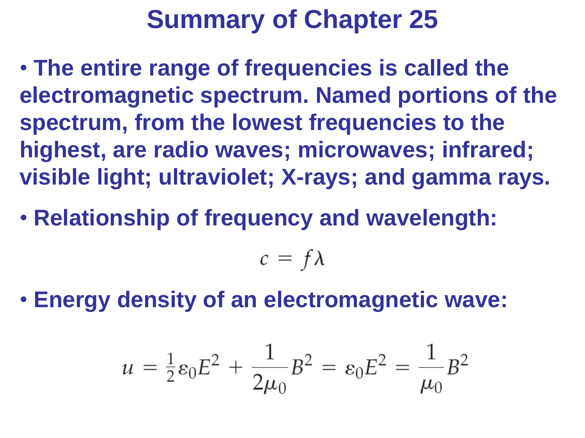- **The entire range of frequencies is called the electromagnetic spectrum. Named portions of the spectrum, from the lowest frequencies to the highest, are radio waves; microwaves; infrared; visible light; ultraviolet; X-rays; and gamma rays.**
- **Relationship of frequency and wavelength:**

$$
c = f\lambda
$$

• **Energy density of an electromagnetic wave:**

$$
u = \frac{1}{2} \varepsilon_0 E^2 + \frac{1}{2\mu_0} B^2 = \varepsilon_0 E^2 = \frac{1}{\mu_0} B^2
$$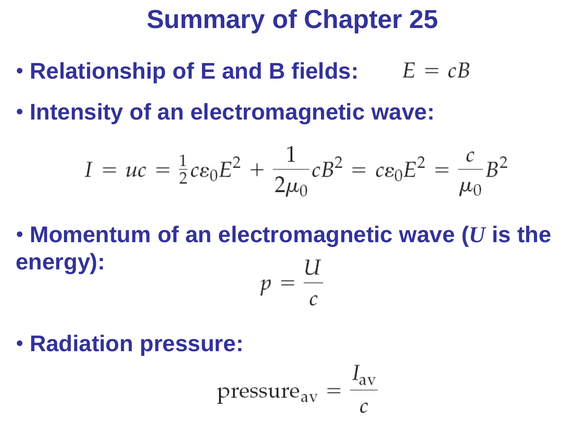- **Relationship of E and B fields:**
- **Intensity of an electromagnetic wave:**

$$
I = uc = \frac{1}{2} c \varepsilon_0 E^2 + \frac{1}{2\mu_0} c B^2 = c \varepsilon_0 E^2 = \frac{c}{\mu_0} B^2
$$

• **Momentum of an electromagnetic wave (***U* **is the energy):**  $p = \frac{U}{c}$ 

• **Radiation pressure:**

$$
pressure_{\text{av}} = \frac{I_{\text{av}}}{c}
$$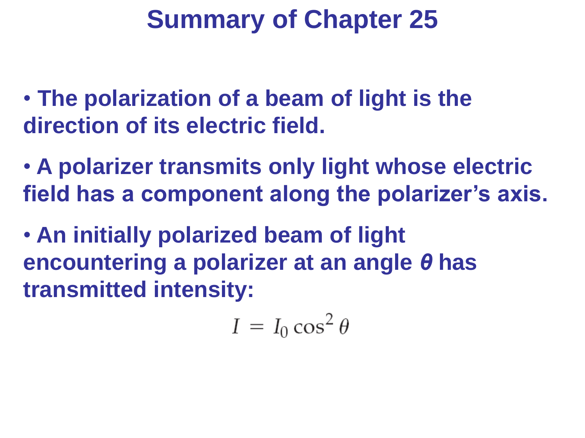• **The polarization of a beam of light is the direction of its electric field.**

• **A polarizer transmits only light whose electric field has a component along the polarizer's axis.**

• **An initially polarized beam of light encountering a polarizer at an angle** *θ* **has transmitted intensity:**

$$
I = I_0 \cos^2 \theta
$$